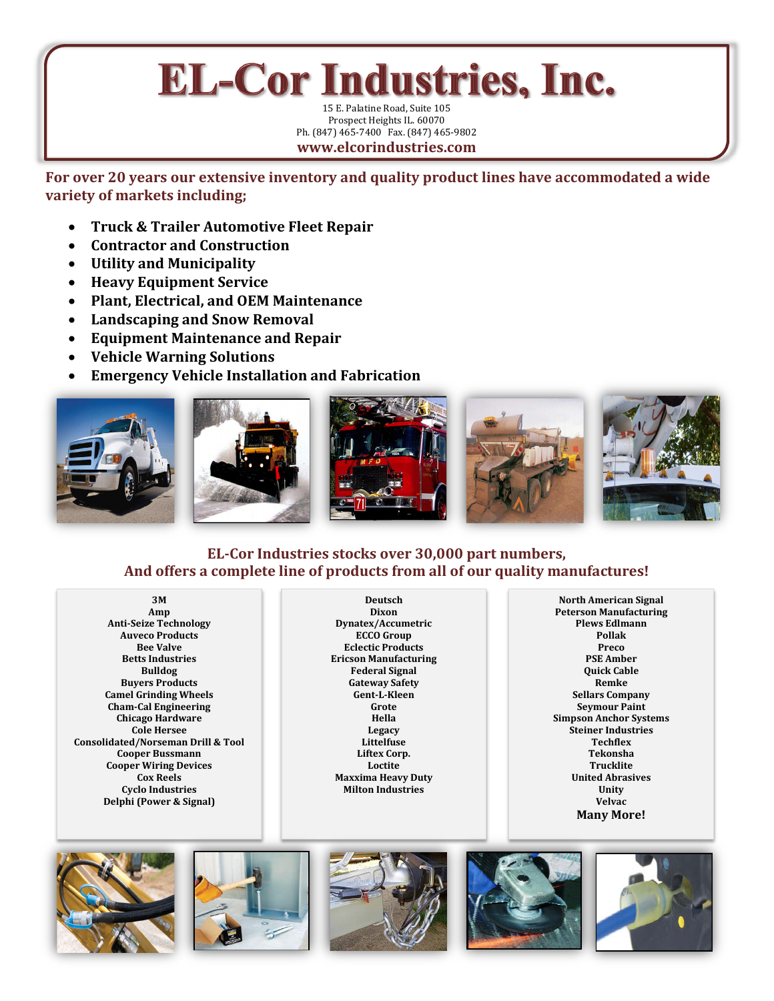## **EL-Cor Industries, Inc.**

15 E. Palatine Road, Suite 105 Prospect Heights IL. 60070 Ph. (847) 465-7400 Fax. (847) 465-9802 **www.elcorindustries.com**

**For over 20 years our extensive inventory and quality product lines have accommodated a wide variety of markets including;**

- **Truck & Trailer Automotive Fleet Repair**
- **Contractor and Construction**
- **Utility and Municipality**
- **Heavy Equipment Service**
- **Plant, Electrical, and OEM Maintenance**
- **Landscaping and Snow Removal**
- **Equipment Maintenance and Repair**
- **Vehicle Warning Solutions**
- **Emergency Vehicle Installation and Fabrication**







## **EL-Cor Industries stocks over 30,000 part numbers, And offers a complete line of products from all of our quality manufactures!**

**3M Amp Anti-Seize Technology Auveco Products Bee Valve Betts Industries Bulldog Buyers Products Camel Grinding Wheels Cham-Cal Engineering Chicago Hardware Cole Hersee Consolidated/Norseman Drill & Tool Cooper Bussmann Cooper Wiring Devices Cox Reels Cyclo Industries Delphi (Power & Signal)**

**Deutsch Dixon Dynatex/Accumetric ECCO Group Eclectic Products Ericson Manufacturing Federal Signal Gateway Safety Gent-L-Kleen Grote Hella Legacy Littelfuse Liftex Corp. Loctite Maxxima Heavy Duty Milton Industries**

**North American Signal Peterson Manufacturing Plews Edlmann Pollak Preco PSE Amber Quick Cable Remke Sellars Company Seymour Paint Simpson Anchor Systems Steiner Industries Techflex Tekonsha Trucklite United Abrasives Unity Velvac Many More!**